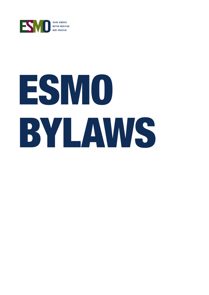

# ESMO BYLAWS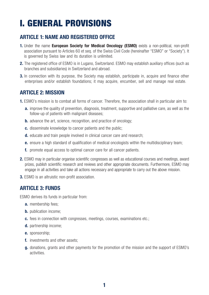# I. GENERAL PROVISIONS

# ARTICLE 1: NAME AND REGISTERED OFFICE

- 1. Under the name European Society for Medical Oncology (ESMO) exists a non-political, non-profit association pursuant to Articles 60 et seq. of the Swiss Civil Code (hereinafter "ESMO" or "Society"). It is governed by Swiss law and its duration is unlimited.
- 2. The registered office of ESMO is in Lugano, Switzerland. ESMO may establish auxiliary offices (such as branches and subsidiaries) in Switzerland and abroad.
- **3.** In connection with its purpose, the Society may establish, participate in, acquire and finance other enterprises and/or establish foundations; it may acquire, encumber, sell and manage real estate.

### ARTICLE 2: MISSION

- 1. ESMO's mission is to combat all forms of cancer. Therefore, the association shall in particular aim to:
	- **a.** improve the quality of prevention, diagnosis, treatment, supportive and palliative care, as well as the follow-up of patients with malignant diseases;
	- **b.** advance the art, science, recognition, and practice of oncology:
	- c. disseminate knowledge to cancer patients and the public;
	- **d.** educate and train people involved in clinical cancer care and research;
	- e. ensure a high standard of qualification of medical oncologists within the multidisciplinary team;
	- f. promote equal access to optimal cancer care for all cancer patients.
- **2.** ESMO may in particular organise scientific congresses as well as educational courses and meetings, award prizes, publish scientific research and reviews and other appropriate documents. Furthermore, ESMO may engage in all activities and take all actions necessary and appropriate to carry out the above mission.
- 3. ESMO is an altruistic non-profit association.

### ARTICLE 3: FUNDS

ESMO derives its funds in particular from:

- a. membership fees;
- **b.** publication income;
- c. fees in connection with congresses, meetings, courses, examinations etc.;
- d. partnership income;
- e. sponsorship;
- f. investments and other assets;
- g. donations, grants and other payments for the promotion of the mission and the support of ESMO's activities.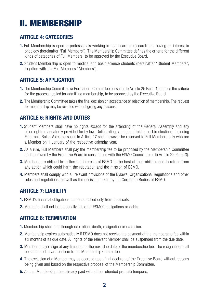# II. MEMBERSHIP

# ARTICLE 4: CATEGORIES

- 1. Full Membership is open to professionals working in healthcare or research and having an interest in oncology (hereinafter "Full Members"). The Membership Committee defines the criteria for the different kinds of categories of Full Members, to be approved by the Executive Board.
- 2. Student Membership is open to medical and basic science students (hereinafter "Student Members"; together with the Full Members "Members").

# ARTICLE 5: APPLICATION

- 1. The Membership Committee (a Permanent Committee pursuant to Article 25 Para. 1) defines the criteria for the process applied for admitting membership, to be approved by the Executive Board.
- 2. The Membership Committee takes the final decision on acceptance or rejection of membership. The request for membership may be rejected without giving any reasons.

# ARTICLE 6: RIGHTS AND DUTIES

- **1.** Student Members shall have no rights except for the attending of the General Assembly and any other rights mandatorily provided for by law. Deliberating, voting and taking part in elections, including Electronic Ballot Votes pursuant to Article 17 shall however be reserved to Full Members only who are a Member on 1 January of the respective calendar year.
- 2. As a rule, Full Members shall pay the membership fee to be proposed by the Membership Committee and approved by the Executive Board in consultation with the ESMO Council (refer to Article 22 Para. 3).
- **3.** Members are obliged to further the interests of ESMO to the best of their abilities and to refrain from any action which could harm the reputation and the mission of ESMO.
- 4. Members shall comply with all relevant provisions of the Bylaws, Organisational Regulations and other rules and regulations, as well as the decisions taken by the Corporate Bodies of ESMO.

### ARTICLE 7: LIABILITY

- 1. ESMO's financial obligations can be satisfied only from its assets.
- 2. Members shall not be personally liable for ESMO's obligations or debts.

### ARTICLE 8: TERMINATION

- 1. Membership shall end through expiration, death, resignation or exclusion.
- 2. Membership expires automatically if ESMO does not receive the payment of the membership fee within six months of its due date. All rights of the relevant Member shall be suspended from the due date.
- **3.** Members may resign at any time as per the next due date of the membership fee. The resignation shall be submitted in written form to the Membership Committee.
- 4. The exclusion of a Member may be decreed upon final decision of the Executive Board without reasons being given and based on the respective proposal of the Membership Committee.
- 5. Annual Membership fees already paid will not be refunded pro rata temporis.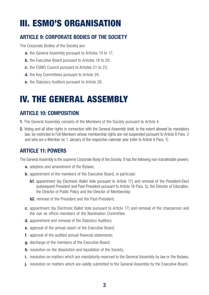# III. ESMO'S ORGANISATION

# ARTICLE 9: CORPORATE BODIES OF THE SOCIETY

The Corporate Bodies of the Society are:

- **a.** the General Assembly pursuant to Articles 10 to 17;
- **b.** the Executive Board pursuant to Articles 18 to 20;
- c. the ESMO Council pursuant to Articles 21 to 23;
- d. the Key Committees pursuant to Article 24:
- e. the Statutory Auditors pursuant to Article 26.

# IV. THE GENERAL ASSEMBLY

# ARTICLE 10: COMPOSITION

- 1. The General Assembly consists of the Members of the Society pursuant to Article 4.
- 2. Voting and all other rights in connection with the General Assembly shall, to the extent allowed by mandatory law, be restricted to Full Members whose membership rights are not suspended pursuant to Article 8 Para. 2 and who are a Member on 1 January of the respective calendar year (refer to Article 6 Para. 1).

# ARTICLE 11: POWERS

The General Assembly is the supreme Corporate Body of the Society. It has the following non-transferable powers:

- a. adoption and amendment of the Bylaws:
- **b.** appointment of the members of the Executive Board, in particular:
	- **b1.** appointment (by Electronic Ballot Vote pursuant to Article 17) and removal of the President-Elect (subsequent President and Past-President pursuant to Article 18 Para. 5), the Director of Education, the Director of Public Policy and the Director of Membership;
	- **b2.** removal of the President and the Past-President;
- c. appointment (by Electronic Ballot Vote pursuant to Article 17) and removal of the chairperson and the non ex officio members of the Nomination Committee;
- d. appointment and removal of the Statutory Auditors;
- e. approval of the annual report of the Executive Board;
- f. approval of the audited annual financial statements;
- g. discharge of the members of the Executive Board;
- **h.** resolution on the dissolution and liquidation of the Society;
- i. resolution on matters which are mandatorily reserved to the General Assembly by law or the Bylaws;
- **j.** resolution on matters which are validly submitted to the General Assembly by the Executive Board.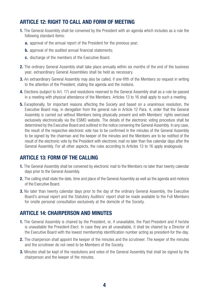# ARTICLE 12: RIGHT TO CALL AND FORM OF MEETING

- 1. The General Assembly shall be convened by the President with an agenda which includes as a rule the following standard items:
	- **a.** approval of the annual report of the President for the previous year;
	- **b.** approval of the audited annual financial statements;
	- c. discharge of the members of the Executive Board.
- 2. The ordinary General Assembly shall take place annually within six months of the end of the business year, extraordinary General Assemblies shall be held as necessary.
- **3.** An extraordinary General Assembly may also be called, if one-fifth of the Members so request in writing to the attention of the President, stating the agenda and the motions.
- 4. Elections (subject to Art. 17) and resolutions reserved to the General Assembly shall as a rule be passed in a meeting with physical attendance of the Members. Articles 13 to 16 shall apply to such a meeting.
- **5.** Exceptionally, for important reasons affecting the Society and based on a unanimous resolution, the Executive Board may, in derogation from the general rule in Article 12 Para. 4, order that the General Assembly is carried out without Members being physically present and with Members' rights exercised exclusively electronically via the ESMO website. The details of the electronic voting procedure shall be determined by the Executive Board and outlined in the notice convening the General Assembly. In any case, the result of the respective electronic vote has to be confirmed in the minutes of the General Assembly to be signed by the chairman and the keeper of the minutes and the Members are to be notified of the result of the electronic vote by the President with electronic mail no later than five calendar days after the General Assembly. For all other aspects, the rules according to Articles 13 to 16 apply analogously.

### ARTICLE 13: FORM OF THE CALLING

- 1. The General Assembly shall be convened by electronic mail to the Members no later than twenty calendar days prior to the General Assembly.
- 2. The calling shall state the date, time and place of the General Assembly as well as the agenda and motions of the Executive Board.
- **3.** No later than twenty calendar days prior to the day of the ordinary General Assembly, the Executive Board's annual report and the Statutory Auditors' report shall be made available to the Full Members for onsite personal consultation exclusively at the domicile of the Society.

### ARTICLE 14: CHAIRPERSON AND MINUTES

- 1. The General Assembly is chaired by the President, or, if unavailable, the Past-President and if he/she is unavailable the President-Elect. In case they are all unavailable, it shall be chaired by a Director of the Executive Board with the lowest membership identification number acting as president-for the-day.
- 2. The chairperson shall appoint the keeper of the minutes and the scrutineer. The keeper of the minutes and the scrutineer do not need to be Members of the Society.
- **3.** Minutes shall be kept of the resolutions and votes of the General Assembly that shall be signed by the chairperson and the keeper of the minutes.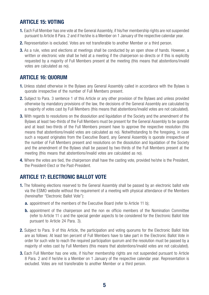## ARTICLE 15: VOTING

- 1. Each Full Member has one vote at the General Assembly, if his/her membership rights are not suspended pursuant to Article 8 Para. 2 and if he/she is a Member on 1 January of the respective calendar year.
- 2. Representation is excluded. Votes are not transferable to another Member or a third person.
- **3.** As a rule, votes and elections at meetings shall be conducted by an open show of hands. However, a written or electronic vote shall be held at a meeting if the chairperson so directs or if this is explicitly requested by a majority of Full Members present at the meeting (this means that abstentions/invalid votes are calculated as no).

### ARTICLE 16: QUORUM

- 1. Unless stated otherwise in the Bylaws any General Assembly called in accordance with the Bylaws is quorate irrespective of the number of Full Members present.
- **2.** Subject to Para. 3 sentence 1 of this Article or any other provision of the Bylaws and unless provided otherwise by mandatory provisions of the law, the decisions of the General Assembly are calculated by a majority of votes cast by Full Members (this means that abstentions/invalid votes are not calculated).
- **3.** With regards to resolutions on the dissolution and liquidation of the Society and the amendment of the Bylaws at least two-thirds of the Full Members must be present for the General Assembly to be quorate and at least two-thirds of the Full Members present have to approve the respective resolution (this means that abstentions/invalid votes are calculated as no). Notwithstanding to the foregoing, in case such a request originates from the Executive Board, any General Assembly is quorate irrespective of the number of Full Members present and resolutions on the dissolution and liquidation of the Society and the amendment of the Bylaws shall be passed by two-thirds of the Full Members present at the meeting (this means that abstentions/invalid votes are calculated as no).
- 4. Where the votes are tied, the chairperson shall have the casting vote, provided he/she is the President, the President-Elect or the Past-President.

# ARTICLE 17: ELECTRONIC BALLOT VOTE

- 1. The following elections reserved to the General Assembly shall be passed by an electronic ballot vote via the ESMO website without the requirement of a meeting with physical attendance of the Members (hereinafter "Electronic Ballot Vote"):
	- **a.** appointment of the members of the Executive Board (refer to Article 11 b);
	- **b.** appointment of the chairperson and the non ex officio members of the Nomination Committee (refer to Article 11 c and the special gender aspects to be considered for the Electronic Ballot Vote pursuant to Article 24 Para. 3).
- 2. Subject to Para. 9 of this Article, the participation and voting quorums for the Electronic Ballot Vote are as follows: At least ten percent of Full Members have to take part in the Electronic Ballot Vote in order for such vote to reach the required participation quorum and the resolution must be passed by a majority of votes cast by Full Members (this means that abstentions/invalid votes are not calculated).
- **3.** Each Full Member has one vote, if his/her membership rights are not suspended pursuant to Article 8 Para. 2 and if he/she is a Member on 1 January of the respective calendar year. Representation is excluded. Votes are not transferable to another Member or a third person.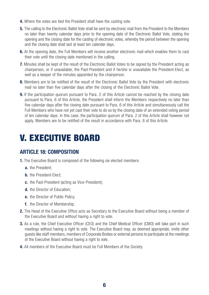- 4. Where the votes are tied the President shall have the casting vote.
- **5.** The calling to the Electronic Ballot Vote shall be sent by electronic mail from the President to the Members no later than twenty calendar days prior to the opening date of the Electronic Ballot Vote, stating the opening and the closing date for the casting of electronic votes, whereby the period between the opening and the closing date shall last at least ten calendar days.
- **6.** At the opening date, the Full Members will receive another electronic mail which enables them to cast their vote until the closing date mentioned in the calling.
- 7. Minutes shall be kept of the result of the Electronic Ballot Votes to be signed by the President acting as chairperson, or if unavailable, the Past-President and if he/she is unavailable the President-Elect, as well as a keeper of the minutes appointed by the chairperson.
- 8. Members are to be notified of the result of the Electronic Ballot Vote by the President with electronic mail no later than five calendar days after the closing of the Electronic Ballot Vote.
- **9.** If the participation quorum pursuant to Para. 2 of this Article cannot be reached by the closing date pursuant to Para. 6 of this Article, the President shall inform the Members respectively no later than five calendar days after the closing date pursuant to Para. 6 of this Article and simultaneously call the Full Members who have not yet cast their vote to do so by the closing date of an extended voting period of ten calendar days. In this case, the participation quorum of Para. 2 of this Article shall however not apply. Members are to be notified of the result in accordance with Para. 8 of this Article.

# V. EXECUTIVE BOARD

# ARTICLE 18: COMPOSITION

- **1.** The Executive Board is composed of the following six elected members:
	- a. the President:
	- **b.** the President-Elect:
	- c. the Past-President (acting as Vice-President);
	- d. the Director of Education;
	- **e.** the Director of Public Policy;
	- f. the Director of Membership.
- **2.** The Head of the Executive Office acts as Secretary to the Executive Board without being a member of the Executive Board and without having a right to vote.
- **3.** As a rule, the Chief Executive Officer (CEO) and the Chief Medical Officer (CMO) will take part in such meetings without having a right to vote. The Executive Board may, as deemed appropriate, invite other guests like staff members, members of Corporate Bodies or external persons to participate at the meetings of the Executive Board without having a right to vote.
- 4. All members of the Executive Board must be Full Members of the Society.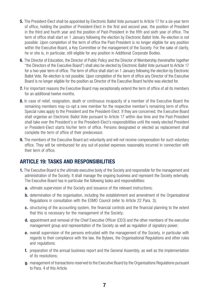- **5.** The President-Elect shall be appointed by Electronic Ballot Vote pursuant to Article 17 for a six-year term of office, holding the position of President-Elect in the first and second year, the position of President in the third and fourth year and the position of Past-President in the fifth and sixth year of office. The term of office shall start on 1 January following the election by Electronic Ballot Vote. Re-election is not possible. Upon completion of the term of office the Past-President is no longer eligible for any position within the Executive Board, a Key Committee or the management of the Society. For the sake of clarity, he or she is, in particular, still eligible for any position in Additional Corporate Bodies.
- **6.** The Director of Education, the Director of Public Policy and the Director of Membership (hereinafter together "the Directors of the Executive Board") shall also be elected by Electronic Ballot Vote pursuant to Article 17 for a two-year term of office. The term of office shall start on 1 January following the election by Electronic Ballot Vote. Re-election is not possible. Upon completion of the term of office any Director of the Executive Board is no longer eligible for the position as Director of the Executive Board he/she was elected for.
- **7.** For important reasons the Executive Board may exceptionally extend the term of office of all its members for an additional twelve months.
- 8. In case of relief, resignation, death or continuous incapacity of a member of the Executive Board the remaining members may co-opt a new member for the respective member's remaining term of office. Special rules apply to the President and the President-Elect. If they are concerned, the Executive Board shall organise an Electronic Ballot Vote pursuant to Article 17 within due time and the Past-President shall take over the President's or the President-Elect's responsibilities until the newly elected President or President-Elect starts his/her term of office. Persons designated or elected as replacement shall complete the term of office of their predecessor.
- **9.** The members of the Executive Board act voluntarily and will not receive compensation for such voluntary office. They will be reimbursed for any out-of-pocket expenses reasonably incurred in connection with their term of office.

### ARTICLE 19: TASKS AND RESPONSIBILITIES

- **1.** The Executive Board is the ultimate executive body of the Society and responsible for the management and administration of the Society. It shall manage the ongoing business and represent the Society externally. The Executive Board has in particular the following tasks and responsibilities:
	- **a.** ultimate supervision of the Society and issuance of the relevant instructions;
	- **b.** determination of the organisation, including the establishment and amendment of the Organisational Regulations in consultation with the ESMO Council (refer to Article 22 Para. 3);
	- c. structuring of the accounting system, the financial controls and the financial planning to the extent that this is necessary for the management of the Society;
	- d. appointment and removal of the Chief Executive Officer (CEO) and the other members of the executive management group and representation of the Society as well as regulation of signatory power;
	- e. overall supervision of the persons entrusted with the management of the Society, in particular with regards to their compliance with the law, the Bylaws, the Organisational Regulations and other rules and regulations;
	- f. preparation of the annual business report and the General Assembly, as well as the implementation of its resolutions;
	- g. management of transactions reserved to the Executive Board by the Organisations Regulations pursuant to Para. 4 of this Article.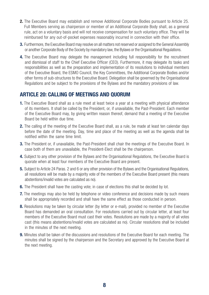- 2. The Executive Board may establish and remove Additional Corporate Bodies pursuant to Article 25. Full Members serving as chairperson or member of an Additional Corporate Body shall, as a general rule, act on a voluntary basis and will not receive compensation for such voluntary office. They will be reimbursed for any out-of-pocket expenses reasonably incurred in connection with their office.
- **3.** Furthermore, the Executive Board may resolve on all matters not reserved or assigned to the General Assembly or another Corporate Body of the Society by mandatory law, the Bylaws or the Organisational Regulations.
- 4. The Executive Board may delegate the management including full responsibility for the recruitment and dismissal of staff to the Chief Executive Officer (CEO). Furthermore, it may delegate its tasks and responsibilities as well as the preparation and implementation of its resolutions to individual members of the Executive Board, the ESMO Council, the Key Committees, the Additional Corporate Bodies and/or other forms of sub-structures to the Executive Board. Delegation shall be governed by the Organisational Regulations and be subject to the provisions of the Bylaws and the mandatory provisions of law.

### ARTICLE 20: CALLING OF MEETINGS AND QUORUM

- 1. The Executive Board shall as a rule meet at least twice a year at a meeting with physical attendance of its members. It shall be called by the President, or, if unavailable, the Past-President. Each member of the Executive Board may, by giving written reason thereof, demand that a meeting of the Executive Board be held within due time.
- 2. The calling of the meeting of the Executive Board shall, as a rule, be made at least ten calendar days before the date of the meeting. Day, time and place of the meeting as well as the agenda shall be notified within the same time limit.
- **3.** The President or, if unavailable, the Past-President shall chair the meetings of the Executive Board. In case both of them are unavailable, the President-Elect shall be the chairperson.
- 4. Subiect to any other provision of the Bylaws and the Organisational Regulations, the Executive Board is quorate when at least four members of the Executive Board are present.
- 5. Subject to Article 24 Paras. 2 and 6 or any other provision of the Bylaws and the Organisational Regulations, all resolutions will be made by a majority vote of the members of the Executive Board present (this means abstentions/invalid votes are calculated as no).
- **6.** The President shall have the casting vote; in case of elections this shall be decided by lot.
- **7.** The meetings may also be held by telephone or video conference and decisions made by such means shall be appropriately recorded and shall have the same effect as those conducted in person.
- 8. Resolutions may be taken by circular letter (by letter or e-mail), provided no member of the Executive Board has demanded an oral consultation. For resolutions carried out by circular letter, at least four members of the Executive Board must cast their votes. Resolutions are made by a majority of all votes cast (this means abstentions/invalid votes are calculated as no). Circular resolutions shall be included in the minutes of the next meeting.
- **9.** Minutes shall be taken of the discussions and resolutions of the Executive Board for each meeting. The minutes shall be signed by the chairperson and the Secretary and approved by the Executive Board at the next meeting.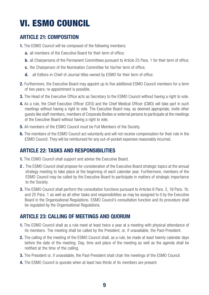# VI. ESMO COUNCIL

# ARTICLE 21: COMPOSITION

- 1. The ESMO Council will be composed of the following members:
	- **a.** all members of the Executive Board for their term of office;
	- **b.** all Chairpersons of the Permanent Committees pursuant to Article 25 Para. 1 for their term of office;
	- c. the Chairperson of the Nomination Committee for his/her term of office;
	- d. all Editors-in-Chief of Journal titles owned by ESMO for their term of office.
- 2. Furthermore, the Executive Board may appoint up to five additional ESMO Council members for a term of two years; re-appointment is possible.
- **3.** The Head of the Executive Office acts as Secretary to the ESMO Council without having a right to vote.
- 4. As a rule, the Chief Executive Officer (CEO) and the Chief Medical Officer (CMO) will take part in such meetings without having a right to vote. The Executive Board may, as deemed appropriate, invite other guests like staff members, members of Corporate Bodies or external persons to participate at the meetings of the Executive Board without having a right to vote.
- 5. All members of the ESMO Council must be Full Members of the Society.
- 6. The members of the ESMO Council act voluntarily and will not receive compensation for their role in the ESMO Council. They will be reimbursed for any out-of-pocket expenses reasonably incurred.

# ARTICLE 22: TASKS AND RESPONSIBILITIES

- 1. The ESMO Council shall support and advise the Executive Board.
- **2.** The ESMO Council shall propose for consideration of the Executive Board strategic topics at the annual strategy meeting to take place at the beginning of each calendar year. Furthermore, members of the ESMO Council may be called by the Executive Board to participate in matters of strategic importance to the Society.
- **3.** The ESMO Council shall perform the consultation functions pursuant to Articles 6 Para. 2, 19 Para. 1b. and 25 Para. 1 as well as all other tasks and responsibilities as may be assigned to it by the Executive Board in the Organisational Regulations. ESMO Council's consultation function and its procedure shall be regulated by the Organisational Regulations.

# ARTICLE 23: CALLING OF MEETINGS AND QUORUM

- 1. The ESMO Council shall as a rule meet at least twice a year at a meeting with physical attendance of its members. The meeting shall be called by the President, or, if unavailable, the Past-President.
- 2. The calling of the meeting of the ESMO Council shall, as a rule, be made at least twenty calendar days before the date of the meeting. Day, time and place of the meeting as well as the agenda shall be notified at the time of the calling.
- **3.** The President or, if unavailable, the Past-President shall chair the meetings of the ESMO Council.
- 4. The ESMO Council is quorate when at least two-thirds of its members are present.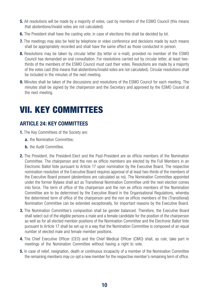- **5.** All resolutions will be made by a majority of votes, cast by members of the ESMO Council (this means that abstentions/invalid votes are not calculated).
- **6.** The President shall have the casting vote; in case of elections this shall be decided by lot.
- 7. The meetings may also be held by telephone or video conference and decisions made by such means shall be appropriately recorded and shall have the same effect as those conducted in person.
- 8. Resolutions may be taken by circular letter (by letter or e-mail), provided no member of the ESMO Council has demanded an oral consultation. For resolutions carried out by circular letter, at least twothirds of the members of the ESMO Council must cast their votes. Resolutions are made by a majority of the votes cast (this means that abstentions/invalid votes are not calculated). Circular resolutions shall be included in the minutes of the next meeting.
- **9.** Minutes shall be taken of the discussions and resolutions of the ESMO Council for each meeting. The minutes shall be signed by the chairperson and the Secretary and approved by the ESMO Council at the next meeting.

# VII. KEY COMMITTEES

# ARTICLE 24: KEY COMMITTEES

- 1. The Key Committees of the Society are:
	- a. the Nomination Committee:
	- **b.** the Audit Committee.
- 2. The President, the President-Elect and the Past-President are ex officio members of the Nomination Committee. The chairperson and the non ex officio members are elected by the Full Members in an Electronic Ballot Vote pursuant to Article 17 upon nomination by the Executive Board. The respective nomination resolution of the Executive Board requires approval of at least two-thirds of the members of the Executive Board present (abstentions are calculated as no). The Nomination Committee appointed under the former Bylaws shall act as Transitional Nomination Committee until the next election comes into force. The term of office of the chairperson and the non ex officio members of the Nomination Committee are to be determined by the Executive Board in the Organisational Regulations, whereby the determined term of office of the chairperson and the non ex officio members of the (Transitional) Nomination Committee can be extended exceptionally, for important reasons by the Executive Board.
- **3.** The Nomination Committee's composition shall be gender balanced. Therefore, the Executive Board shall select out of the eligible persons a male and a female candidate for the position of the chairperson as well as for all elected member positions of the Nomination Committee and the Electronic Ballot Vote pursuant to Article 17 shall be set-up in a way that the Nomination Committee is composed of an equal number of elected male and female member positions.
- 4. The Chief Executive Officer (CEO) and the Chief Medical Officer (CMO) shall, as rule, take part in meetings of the Nomination Committee without having a right to vote.
- **5.** In case of relief, resignation, death or continuous incapacity of a member of the Nomination Committee the remaining members may co-opt a new member for the respective member's remaining term of office.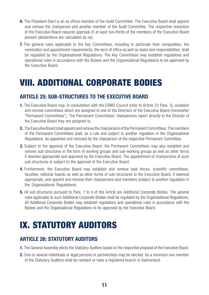- 6. The President-Elect is an ex officio member of the Audit Committee. The Executive Board shall appoint and remove the chairperson and another member of the Audit Committee. The respective resolution of the Executive Board requires approval of at least two-thirds of the members of the Executive Board present (abstentions are calculated as no).
- **7.** The general rules applicable to the Key Committees, including in particular their composition, the nomination and appointment requirements, the term of office as well as tasks and responsibilities, shall be regulated by the Organisational Regulations. The Key Committees may establish regulations and operational rules in accordance with the Bylaws and the Organisational Regulations to be approved by the Executive Board.

# VIII. ADDITIONAL CORPORATE BODIES

# ARTICLE 25: SUB-STRUCTURES TO THE EXECUTIVE BOARD

- 1. The Executive Board may, in consultation with the ESMO Council (refer to Article 22 Para. 3), establish and remove committees which are assigned to one of the Directors of the Executive Board (hereinafter "Permanent Committees"). The Permanent Committees' chairpersons report directly to the Director of the Executive Board they are assigned to.
- 2. The Executive Board shall appoint and remove the chairpersons of the Permanent Committees. The members of the Permanent Committees shall, as a rule and subject to another regulation in the Organisational Regulations, be appointed and removed by the chairperson of the respective Permanent Committee.
- **3.** Subject to the approval of the Executive Board, the Permanent Committees may also establish and remove sub-structures in the form of working groups and sub-working groups as well as other forms if deemed appropriate and approved by the Executive Board. The appointment of chairpersons of such sub-structures is subject to the approval of the Executive Board.
- 4. Furthermore, the Executive Board may establish and remove task forces, scientific committees, faculties, editorial boards as well as other forms of sub-structures to the Executive Board, if deemed appropriate, and appoint and remove their chairpersons and members (subject to another regulation in the Organisational Regulations).
- **5.** All sub-structures pursuant to Para. 1 to 4 of this Article are Additional Corporate Bodies. The general rules applicable to such Additional Corporate Bodies shall be regulated by the Organisational Regulations. All Additional Corporate Bodies may establish regulations and operational rules in accordance with the Bylaws and the Organisational Regulations to be approved by the Executive Board.

# IX. STATUTORY AUDITORS

# ARTICLE 26: STATUTORY AUDITORS

- 1. The General Assembly elects the Statutory Auditors based on the respective proposal of the Executive Board.
- 2. One or several individuals or legal persons or partnerships may be elected. As a minimum one member of the Statutory Auditors shall be resident or have a registered branch in Switzerland.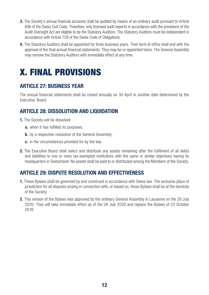- **3.** The Society's annual financial accounts shall be audited by means of an ordinary audit pursuant to Article 69b of the Swiss Civil Code. Therefore, only licensed audit experts in accordance with the provisions of the Audit Oversight Act are eligible to be the Statutory Auditors. The Statutory Auditors must be independent in accordance with Article 728 of the Swiss Code of Obligations.
- 4. The Statutory Auditors shall be appointed for three business years. Their term of office shall end with the approval of the final annual financial statements. They may be re-appointed twice. The General Assembly may remove the Statutory Auditors with immediate effect at any time.

# X. FINAL PROVISIONS

# ARTICLE 27: BUSINESS YEAR

The annual financial statements shall be closed annually on 30 April or another date determined by the Executive Board.

# ARTICLE 28: DISSOLUTION AND LIQUIDATION

- **1.** The Society will be dissolved
	- **a.** when it has fulfilled its purposes;
	- **b.** by a respective resolution of the General Assembly;
	- c. in the circumstances provided for by the law.
- **2.** The Executive Board shall select and distribute any assets remaining after the fulfilment of all debts and liabilities to one or more tax-exempted institutions with the same or similar objectives having its headquarters in Switzerland. No assets shall be paid to or distributed among the Members of the Society.

### ARTICLE 29: DISPUTE RESOLUTION AND EFFECTIVENESS

- 1. These Bylaws shall be governed by and construed in accordance with Swiss law. The exclusive place of jurisdiction for all disputes arising in connection with, or based on, these Bylaws shall be at the domicile of the Society.
- 2. This version of the Bylaws was approved by the ordinary General Assembly in Lausanne on the 28 July 2020. They will take immediate effect as of the 28 July 2020 and replace the Bylaws of 22 October 2018.